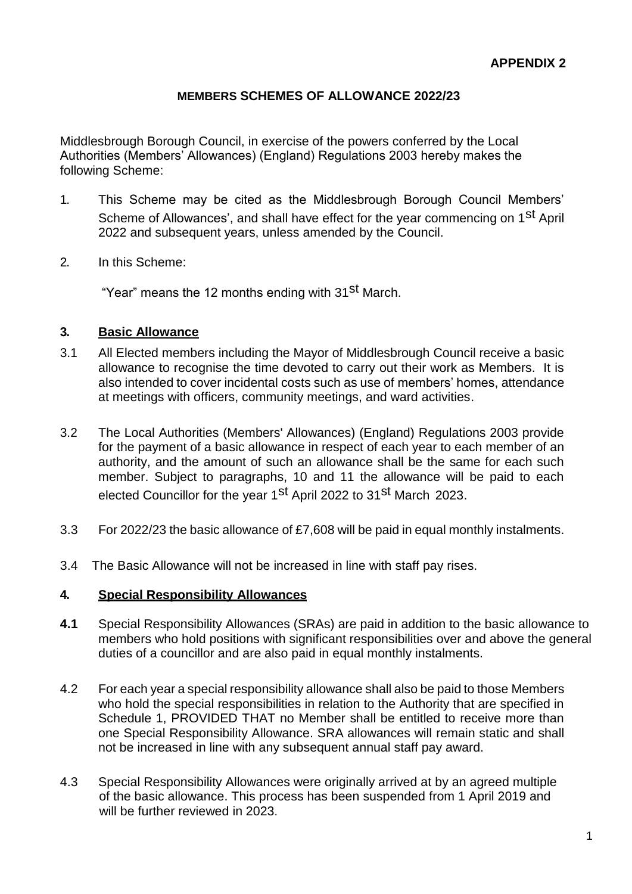## **MEMBERS SCHEMES OF ALLOWANCE 2022/23**

Middlesbrough Borough Council, in exercise of the powers conferred by the Local Authorities (Members' Allowances) (England) Regulations 2003 hereby makes the following Scheme:

- 1. This Scheme may be cited as the Middlesbrough Borough Council Members' Scheme of Allowances', and shall have effect for the year commencing on 1<sup>st</sup> April 2022 and subsequent years, unless amended by the Council.
- 2. In this Scheme:

"Year" means the 12 months ending with 31<sup>st</sup> March.

#### **3. Basic Allowance**

- 3.1 All Elected members including the Mayor of Middlesbrough Council receive a basic allowance to recognise the time devoted to carry out their work as Members. It is also intended to cover incidental costs such as use of members' homes, attendance at meetings with officers, community meetings, and ward activities.
- 3.2 The Local Authorities (Members' Allowances) (England) Regulations 2003 provide for the payment of a basic allowance in respect of each year to each member of an authority, and the amount of such an allowance shall be the same for each such member. Subject to paragraphs, 10 and 11 the allowance will be paid to each elected Councillor for the year 1<sup>st</sup> April 2022 to 31<sup>st</sup> March 2023.
- 3.3 For 2022/23 the basic allowance of £7,608 will be paid in equal monthly instalments.
- 3.4 The Basic Allowance will not be increased in line with staff pay rises.

#### **4. Special Responsibility Allowances**

- **4.1** Special Responsibility Allowances (SRAs) are paid in addition to the basic allowance to members who hold positions with significant responsibilities over and above the general duties of a councillor and are also paid in equal monthly instalments.
- 4.2 For each year a special responsibility allowance shall also be paid to those Members who hold the special responsibilities in relation to the Authority that are specified in Schedule 1, PROVIDED THAT no Member shall be entitled to receive more than one Special Responsibility Allowance. SRA allowances will remain static and shall not be increased in line with any subsequent annual staff pay award.
- 4.3 Special Responsibility Allowances were originally arrived at by an agreed multiple of the basic allowance. This process has been suspended from 1 April 2019 and will be further reviewed in 2023.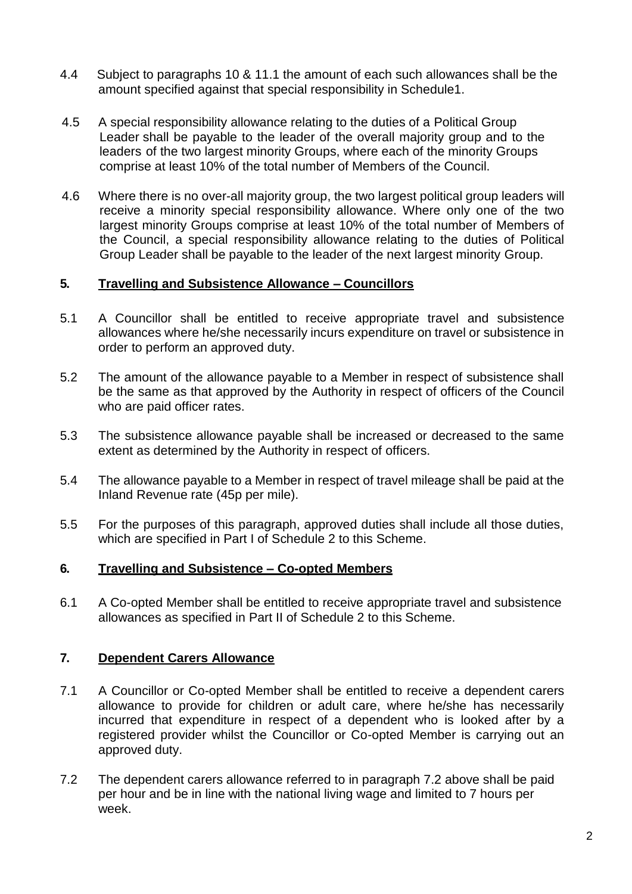- 4.4 Subject to paragraphs 10 & 11.1 the amount of each such allowances shall be the amount specified against that special responsibility in Schedule1.
- 4.5 A special responsibility allowance relating to the duties of a Political Group Leader shall be payable to the leader of the overall majority group and to the leaders of the two largest minority Groups, where each of the minority Groups comprise at least 10% of the total number of Members of the Council.
- 4.6 Where there is no over-all majority group, the two largest political group leaders will receive a minority special responsibility allowance. Where only one of the two largest minority Groups comprise at least 10% of the total number of Members of the Council, a special responsibility allowance relating to the duties of Political Group Leader shall be payable to the leader of the next largest minority Group.

#### **5. Travelling and Subsistence Allowance – Councillors**

- 5.1 A Councillor shall be entitled to receive appropriate travel and subsistence allowances where he/she necessarily incurs expenditure on travel or subsistence in order to perform an approved duty.
- 5.2 The amount of the allowance payable to a Member in respect of subsistence shall be the same as that approved by the Authority in respect of officers of the Council who are paid officer rates.
- 5.3 The subsistence allowance payable shall be increased or decreased to the same extent as determined by the Authority in respect of officers.
- 5.4 The allowance payable to a Member in respect of travel mileage shall be paid at the Inland Revenue rate (45p per mile).
- 5.5 For the purposes of this paragraph, approved duties shall include all those duties, which are specified in Part I of Schedule 2 to this Scheme.

### **6. Travelling and Subsistence – Co-opted Members**

6.1 A Co-opted Member shall be entitled to receive appropriate travel and subsistence allowances as specified in Part II of Schedule 2 to this Scheme.

### **7. Dependent Carers Allowance**

- 7.1 A Councillor or Co-opted Member shall be entitled to receive a dependent carers allowance to provide for children or adult care, where he/she has necessarily incurred that expenditure in respect of a dependent who is looked after by a registered provider whilst the Councillor or Co-opted Member is carrying out an approved duty.
- 7.2 The dependent carers allowance referred to in paragraph 7.2 above shall be paid per hour and be in line with the national living wage and limited to 7 hours per week.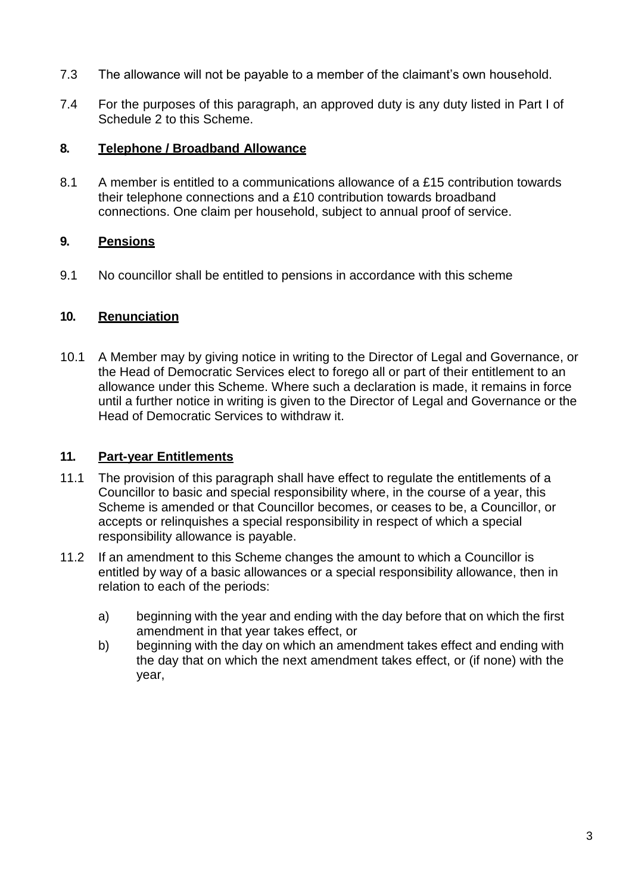- 7.3 The allowance will not be payable to a member of the claimant's own household.
- 7.4 For the purposes of this paragraph, an approved duty is any duty listed in Part I of Schedule 2 to this Scheme.

## **8. Telephone / Broadband Allowance**

8.1 A member is entitled to a communications allowance of a  $£15$  contribution towards their telephone connections and a £10 contribution towards broadband connections. One claim per household, subject to annual proof of service.

## **9. Pensions**

9.1 No councillor shall be entitled to pensions in accordance with this scheme

## **10. Renunciation**

10.1 A Member may by giving notice in writing to the Director of Legal and Governance, or the Head of Democratic Services elect to forego all or part of their entitlement to an allowance under this Scheme. Where such a declaration is made, it remains in force until a further notice in writing is given to the Director of Legal and Governance or the Head of Democratic Services to withdraw it.

## **11. Part-year Entitlements**

- 11.1 The provision of this paragraph shall have effect to regulate the entitlements of a Councillor to basic and special responsibility where, in the course of a year, this Scheme is amended or that Councillor becomes, or ceases to be, a Councillor, or accepts or relinquishes a special responsibility in respect of which a special responsibility allowance is payable.
- 11.2 If an amendment to this Scheme changes the amount to which a Councillor is entitled by way of a basic allowances or a special responsibility allowance, then in relation to each of the periods:
	- a) beginning with the year and ending with the day before that on which the first amendment in that year takes effect, or
	- b) beginning with the day on which an amendment takes effect and ending with the day that on which the next amendment takes effect, or (if none) with the year,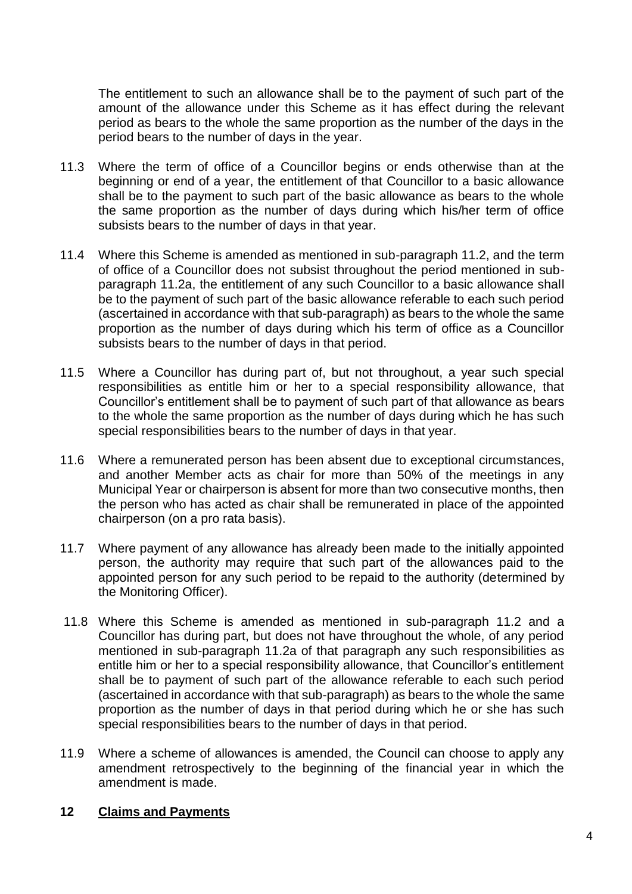The entitlement to such an allowance shall be to the payment of such part of the amount of the allowance under this Scheme as it has effect during the relevant period as bears to the whole the same proportion as the number of the days in the period bears to the number of days in the year.

- 11.3 Where the term of office of a Councillor begins or ends otherwise than at the beginning or end of a year, the entitlement of that Councillor to a basic allowance shall be to the payment to such part of the basic allowance as bears to the whole the same proportion as the number of days during which his/her term of office subsists bears to the number of days in that year.
- 11.4 Where this Scheme is amended as mentioned in sub-paragraph 11.2, and the term of office of a Councillor does not subsist throughout the period mentioned in subparagraph 11.2a, the entitlement of any such Councillor to a basic allowance shall be to the payment of such part of the basic allowance referable to each such period (ascertained in accordance with that sub-paragraph) as bears to the whole the same proportion as the number of days during which his term of office as a Councillor subsists bears to the number of days in that period.
- 11.5 Where a Councillor has during part of, but not throughout, a year such special responsibilities as entitle him or her to a special responsibility allowance, that Councillor's entitlement shall be to payment of such part of that allowance as bears to the whole the same proportion as the number of days during which he has such special responsibilities bears to the number of days in that year.
- 11.6 Where a remunerated person has been absent due to exceptional circumstances, and another Member acts as chair for more than 50% of the meetings in any Municipal Year or chairperson is absent for more than two consecutive months, then the person who has acted as chair shall be remunerated in place of the appointed chairperson (on a pro rata basis).
- 11.7 Where payment of any allowance has already been made to the initially appointed person, the authority may require that such part of the allowances paid to the appointed person for any such period to be repaid to the authority (determined by the Monitoring Officer).
- 11.8 Where this Scheme is amended as mentioned in sub-paragraph 11.2 and a Councillor has during part, but does not have throughout the whole, of any period mentioned in sub-paragraph 11.2a of that paragraph any such responsibilities as entitle him or her to a special responsibility allowance, that Councillor's entitlement shall be to payment of such part of the allowance referable to each such period (ascertained in accordance with that sub-paragraph) as bears to the whole the same proportion as the number of days in that period during which he or she has such special responsibilities bears to the number of days in that period.
- 11.9 Where a scheme of allowances is amended, the Council can choose to apply any amendment retrospectively to the beginning of the financial year in which the amendment is made.

### **12 Claims and Payments**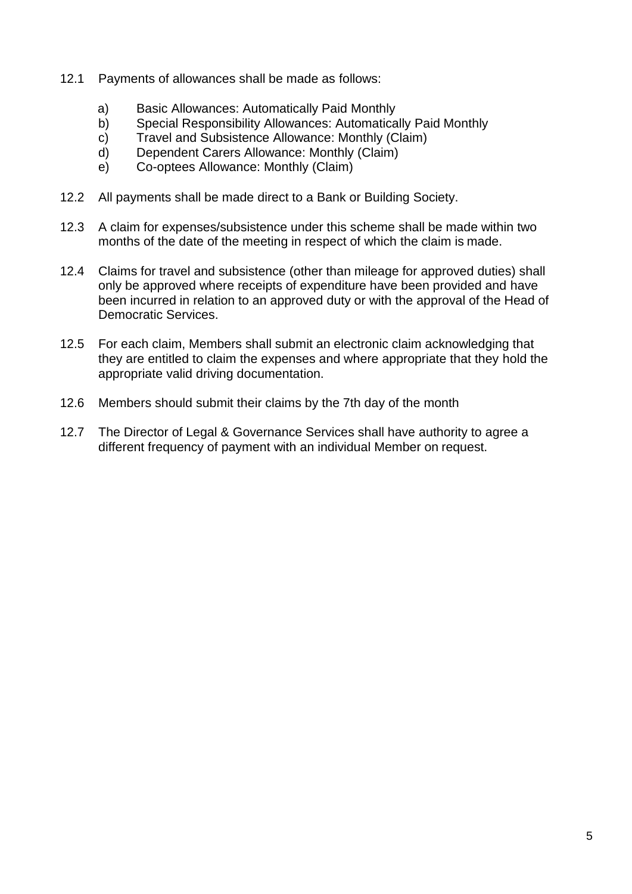- 12.1 Payments of allowances shall be made as follows:
	- a) Basic Allowances: Automatically Paid Monthly<br>b) Special Responsibility Allowances: Automatica
	- Special Responsibility Allowances: Automatically Paid Monthly
	- c) Travel and Subsistence Allowance: Monthly (Claim)
	- d) Dependent Carers Allowance: Monthly (Claim)
	- e) Co-optees Allowance: Monthly (Claim)
- 12.2 All payments shall be made direct to a Bank or Building Society.
- 12.3 A claim for expenses/subsistence under this scheme shall be made within two months of the date of the meeting in respect of which the claim is made.
- 12.4 Claims for travel and subsistence (other than mileage for approved duties) shall only be approved where receipts of expenditure have been provided and have been incurred in relation to an approved duty or with the approval of the Head of Democratic Services.
- 12.5 For each claim, Members shall submit an electronic claim acknowledging that they are entitled to claim the expenses and where appropriate that they hold the appropriate valid driving documentation.
- 12.6 Members should submit their claims by the 7th day of the month
- 12.7 The Director of Legal & Governance Services shall have authority to agree a different frequency of payment with an individual Member on request.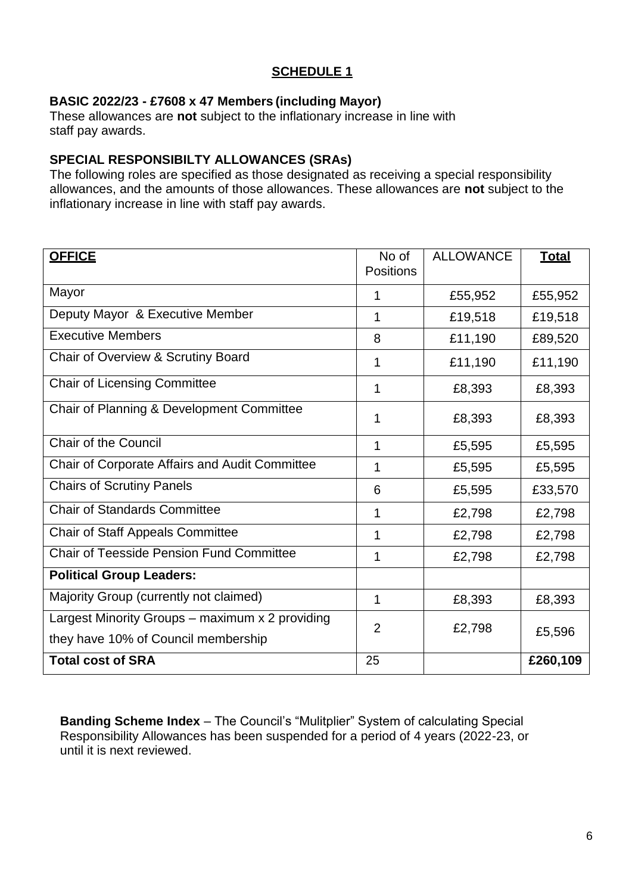# **SCHEDULE 1**

## **BASIC 2022/23 - £7608 x 47 Members (including Mayor)**

These allowances are **not** subject to the inflationary increase in line with staff pay awards.

## **SPECIAL RESPONSIBILTY ALLOWANCES (SRAs)**

The following roles are specified as those designated as receiving a special responsibility allowances, and the amounts of those allowances. These allowances are **not** subject to the inflationary increase in line with staff pay awards.

| <b>OFFICE</b>                                                                          | No of<br><b>Positions</b> | <b>ALLOWANCE</b> | <b>Total</b> |
|----------------------------------------------------------------------------------------|---------------------------|------------------|--------------|
| Mayor                                                                                  | 1                         | £55,952          | £55,952      |
| Deputy Mayor & Executive Member                                                        | 1                         | £19,518          | £19,518      |
| <b>Executive Members</b>                                                               | 8                         | £11,190          | £89,520      |
| Chair of Overview & Scrutiny Board                                                     | 1                         | £11,190          | £11,190      |
| <b>Chair of Licensing Committee</b>                                                    | 1                         | £8,393           | £8,393       |
| Chair of Planning & Development Committee                                              | 1                         | £8,393           | £8,393       |
| <b>Chair of the Council</b>                                                            | 1                         | £5,595           | £5,595       |
| Chair of Corporate Affairs and Audit Committee                                         | 1                         | £5,595           | £5,595       |
| <b>Chairs of Scrutiny Panels</b>                                                       | 6                         | £5,595           | £33,570      |
| <b>Chair of Standards Committee</b>                                                    | 1                         | £2,798           | £2,798       |
| <b>Chair of Staff Appeals Committee</b>                                                | 1                         | £2,798           | £2,798       |
| <b>Chair of Teesside Pension Fund Committee</b>                                        | 1                         | £2,798           | £2,798       |
| <b>Political Group Leaders:</b>                                                        |                           |                  |              |
| Majority Group (currently not claimed)                                                 | 1                         | £8,393           | £8,393       |
| Largest Minority Groups - maximum x 2 providing<br>they have 10% of Council membership | $\overline{2}$            | £2,798           | £5,596       |
| <b>Total cost of SRA</b>                                                               | 25                        |                  | £260,109     |

**Banding Scheme Index** – The Council's "Mulitplier" System of calculating Special Responsibility Allowances has been suspended for a period of 4 years (2022-23, or until it is next reviewed.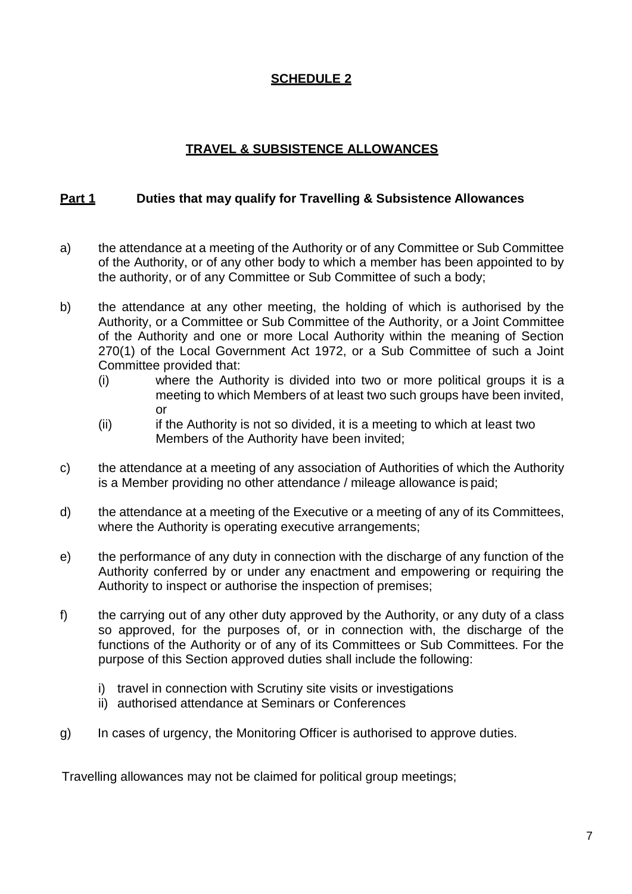# **SCHEDULE 2**

# **TRAVEL & SUBSISTENCE ALLOWANCES**

## **Part 1 Duties that may qualify for Travelling & Subsistence Allowances**

- a) the attendance at a meeting of the Authority or of any Committee or Sub Committee of the Authority, or of any other body to which a member has been appointed to by the authority, or of any Committee or Sub Committee of such a body;
- b) the attendance at any other meeting, the holding of which is authorised by the Authority, or a Committee or Sub Committee of the Authority, or a Joint Committee of the Authority and one or more Local Authority within the meaning of Section 270(1) of the Local Government Act 1972, or a Sub Committee of such a Joint Committee provided that:
	- (i) where the Authority is divided into two or more political groups it is a meeting to which Members of at least two such groups have been invited, or
	- (ii) if the Authority is not so divided, it is a meeting to which at least two Members of the Authority have been invited;
- c) the attendance at a meeting of any association of Authorities of which the Authority is a Member providing no other attendance / mileage allowance is paid;
- d) the attendance at a meeting of the Executive or a meeting of any of its Committees, where the Authority is operating executive arrangements;
- e) the performance of any duty in connection with the discharge of any function of the Authority conferred by or under any enactment and empowering or requiring the Authority to inspect or authorise the inspection of premises;
- f) the carrying out of any other duty approved by the Authority, or any duty of a class so approved, for the purposes of, or in connection with, the discharge of the functions of the Authority or of any of its Committees or Sub Committees. For the purpose of this Section approved duties shall include the following:
	- i) travel in connection with Scrutiny site visits or investigations
	- ii) authorised attendance at Seminars or Conferences
- g) In cases of urgency, the Monitoring Officer is authorised to approve duties.

Travelling allowances may not be claimed for political group meetings;